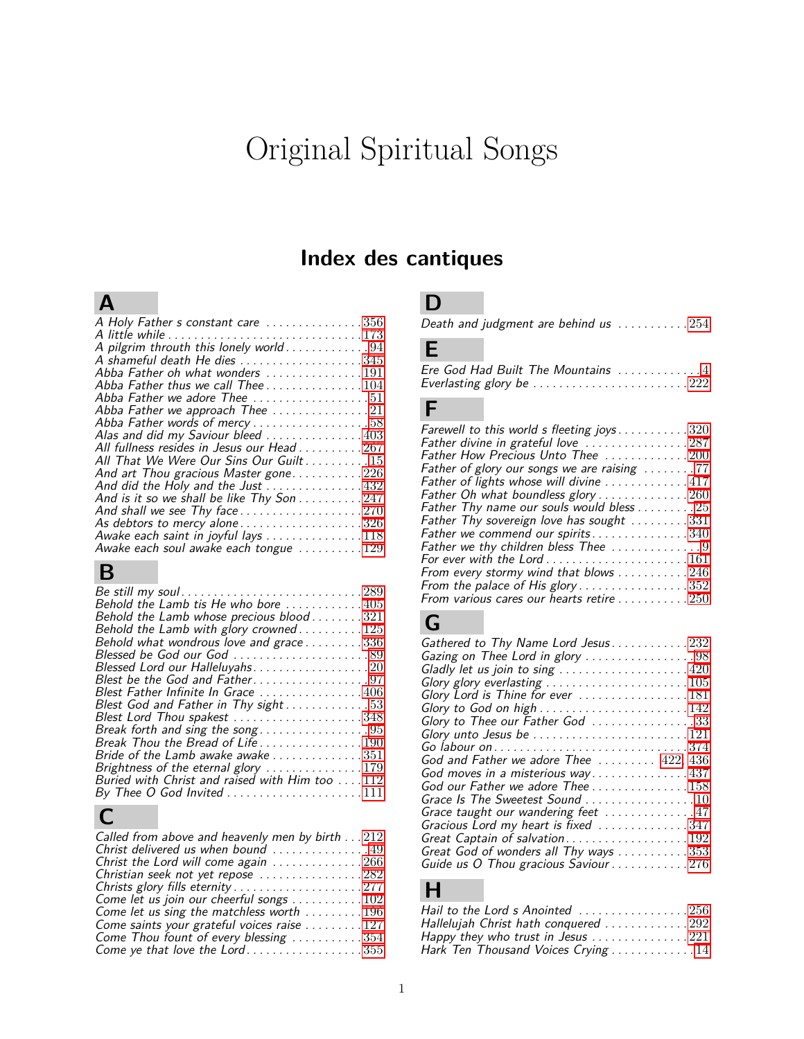# Original Spiritual Songs

## **Index des cantiques**

## **A**

| A Holy Father s constant care 356                                  |  |
|--------------------------------------------------------------------|--|
|                                                                    |  |
| A pilgrim throuth this lonely world94                              |  |
| A shameful death He dies 345                                       |  |
| Abba Father oh what wonders 191                                    |  |
| Abba Father thus we call Thee104                                   |  |
| Abba Father we adore Thee $\ldots \ldots \ldots \ldots 51$         |  |
| Abba Father we approach Thee 21                                    |  |
| Abba Father words of mercy58                                       |  |
| Alas and did my Saviour bleed  403                                 |  |
| All fullness resides in Jesus our Head 267                         |  |
| All That We Were Our Sins Our Guilt 15                             |  |
| And art Thou gracious Master gone226                               |  |
| And did the Holy and the Just 432                                  |  |
| And is it so we shall be like Thy Son 247                          |  |
|                                                                    |  |
| As debtors to mercy alone $\ldots \ldots \ldots \ldots \ldots 326$ |  |
| Awake each saint in joyful lays 118                                |  |
| Awake each soul awake each tongue 129                              |  |
|                                                                    |  |

## **B**

| Be still my soul289                                                                   |
|---------------------------------------------------------------------------------------|
| Behold the Lamb tis He who bore 405                                                   |
| Behold the Lamb whose precious blood321                                               |
| Behold the Lamb with glory crowned125                                                 |
| Behold what wondrous love and grace 336                                               |
| Blessed be God our God 89                                                             |
| Blessed Lord our Halleluyahs. 20                                                      |
|                                                                                       |
| Blest Father Infinite In Grace  406                                                   |
| Blest God and Father in Thy sight53                                                   |
| Blest Lord Thou spakest 348                                                           |
| Break forth and sing the song95                                                       |
| Break Thou the Bread of Life190                                                       |
| Bride of the Lamb awake awake 351                                                     |
|                                                                                       |
| Brightness of the eternal glory 179<br>Buried with Christ and raised with Him too 112 |
| By Thee O God Invited 111                                                             |
|                                                                                       |

# $\frac{D_y}{C}$

### **D**

|  | Death and judgment are behind us $\ldots \ldots \ldots 254$ |  |
|--|-------------------------------------------------------------|--|
|--|-------------------------------------------------------------|--|

#### **E**

| Ere God Had Built The Mountains 4 |  |  |  |  |  |
|-----------------------------------|--|--|--|--|--|
| Everlasting glory be 222          |  |  |  |  |  |

#### **F**

# **G**

| Gathered to Thy Name Lord Jesus232                                                |
|-----------------------------------------------------------------------------------|
| Gazing on Thee Lord in glory 98                                                   |
| Gladly let us join to sing $\ldots \ldots \ldots \ldots \ldots \ldots 420$        |
| Glory glory everlasting 105                                                       |
| Glory Lord is Thine for ever 181                                                  |
| Glory to God on high $\ldots \ldots \ldots \ldots \ldots \ldots 142$              |
| Glory to Thee our Father God 33                                                   |
| Glory unto Jesus be $\ldots \ldots \ldots \ldots \ldots \ldots \ldots 121$        |
| Go labour on $\ldots \ldots \ldots \ldots \ldots \ldots \ldots \ldots \ldots 374$ |
| God and Father we adore Thee $\ldots \ldots 422, 436$                             |
| God moves in a misterious way437                                                  |
| God our Father we adore Thee 158                                                  |
| Grace Is The Sweetest Sound 10                                                    |
| Grace taught our wandering feet 47                                                |
| Gracious Lord my heart is fixed 347                                               |
| Great Captain of salvation192                                                     |
| Great God of wonders all Thy ways 353                                             |
| Guide us O Thou gracious Saviour 276                                              |

## **H**

| Hail to the Lord s Anointed $\ldots \ldots \ldots \ldots \ldots 256$ |  |
|----------------------------------------------------------------------|--|
| Hallelujah Christ hath conquered $\ldots \ldots \ldots \ldots 292$   |  |
| Happy they who trust in Jesus $\ldots \ldots \ldots \ldots 221$      |  |
| Hark Ten Thousand Voices Crying 14                                   |  |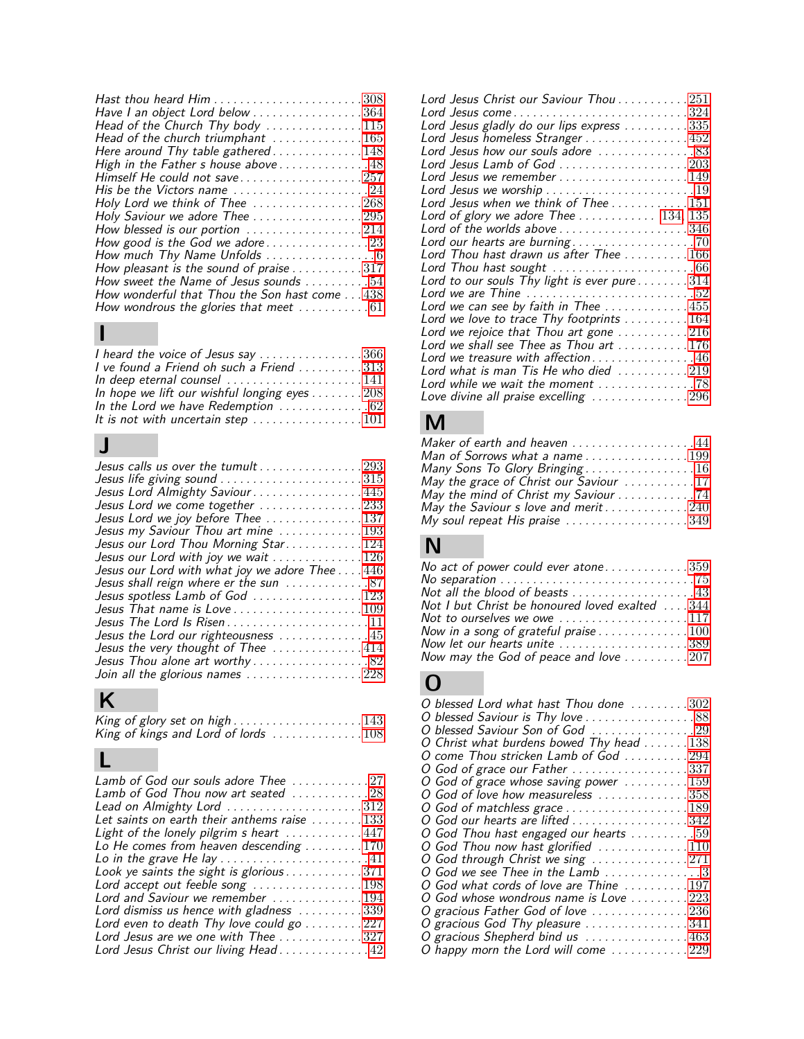| Have I an object Lord below 364                                     |
|---------------------------------------------------------------------|
| Head of the Church Thy body $\ldots \ldots \ldots \ldots 115$       |
| Head of the church triumphant $\ldots \ldots \ldots \ldots 165$     |
| Here around Thy table gathered148                                   |
| High in the Father s house above 48                                 |
| Himself He could not save $\ldots \ldots \ldots \ldots \ldots 257$  |
| His be the Victors name 24                                          |
| Holy Lord we think of Thee 268                                      |
| Holy Saviour we adore Thee $\ldots \ldots \ldots \ldots \ldots 295$ |
| How blessed is our portion $\ldots \ldots \ldots \ldots 214$        |
| How good is the God we adore23                                      |
|                                                                     |
| How pleasant is the sound of praise 317                             |
| How sweet the Name of Jesus sounds $\ldots \ldots \ldots 54$        |
| How wonderful that Thou the Son hast come 438                       |
| How wondrous the glories that meet  61                              |

#### **I**

| I heard the voice of Jesus say 366                                     |  |
|------------------------------------------------------------------------|--|
| I ve found a Friend oh such a Friend 313                               |  |
| In deep eternal counsel $\ldots \ldots \ldots \ldots \ldots 141$       |  |
| In hope we lift our wishful longing eyes 208                           |  |
| In the Lord we have Redemption  62                                     |  |
| It is not with uncertain step $\ldots \ldots \ldots \ldots \ldots 101$ |  |

# **J**

# **K**

| King of glory set on high $\ldots \ldots \ldots \ldots \ldots 143$        |  |
|---------------------------------------------------------------------------|--|
| King of kings and Lord of lords $\dots \dots \dots \dots \dots \dots 108$ |  |

# **L**

| Lord Jesus Christ our Saviour Thou $\ldots \ldots \ldots 251$                      |
|------------------------------------------------------------------------------------|
| Lord Jesus come324                                                                 |
| Lord Jesus gladly do our lips express 335                                          |
| Lord Jesus homeless Stranger452                                                    |
| Lord Jesus how our souls adore 83                                                  |
| Lord Jesus Lamb of God $\ldots \ldots \ldots \ldots \ldots \ldots 203$             |
| Lord Jesus we remember $\ldots \ldots \ldots \ldots \ldots \ldots 149$             |
|                                                                                    |
| Lord Jesus when we think of Thee 151                                               |
| Lord of glory we adore Thee $134, 135$                                             |
| Lord of the worlds above 346                                                       |
|                                                                                    |
| Lord Thou hast drawn us after Thee $\ldots \ldots \ldots 166$                      |
| Lord Thou hast sought $\ldots \ldots \ldots \ldots \ldots \ldots \ldots \ldots 66$ |
| Lord to our souls Thy light is ever pure 314                                       |
| Lord we are Thine $\ldots \ldots \ldots \ldots \ldots \ldots \ldots 52$            |
| Lord we can see by faith in Thee $\ldots \ldots \ldots \ldots 455$                 |
| Lord we love to trace Thy footprints 164                                           |
| Lord we rejoice that Thou art gone 216                                             |
| Lord we shall see Thee as Thou art $\dots \dots \dots 176$                         |
| Lord we treasure with affection46                                                  |
| Lord what is man Tis He who died $\ldots \ldots \ldots 219$                        |
| Lord while we wait the moment 78                                                   |
| Love divine all praise excelling 296                                               |

# **M**

| Maker of earth and heaven 44                                       |
|--------------------------------------------------------------------|
| Man of Sorrows what a name199                                      |
| Many Sons To Glory Bringing16                                      |
| May the grace of Christ our Saviour 17                             |
| May the mind of Christ my Saviour 74                               |
| May the Saviour s love and merit $\ldots \ldots \ldots \ldots 240$ |
| My soul repeat His praise 349                                      |

#### **N**

| No act of power could ever atone359                                                   |
|---------------------------------------------------------------------------------------|
| No separation $\ldots \ldots \ldots \ldots \ldots \ldots \ldots \ldots \ldots \ldots$ |
| Not all the blood of beasts 43                                                        |
| Not I but Christ be honoured loved exalted $\dots$ 344                                |
| Not to ourselves we owe 117                                                           |
| Now in a song of grateful praise $\ldots \ldots \ldots \ldots 100$                    |
| Now let our hearts unite $\ldots \ldots \ldots \ldots \ldots \ldots 389$              |
| Now may the God of peace and love $\ldots \ldots \ldots 207$                          |
| $\bf{O}$                                                                              |
|                                                                                       |

| O blessed Lord what hast Thou done 302<br>O blessed Saviour is Thy love 88<br>O blessed Saviour Son of God 29 |
|---------------------------------------------------------------------------------------------------------------|
| O Christ what burdens bowed Thy head $\ldots \ldots 138$                                                      |
| O come Thou stricken Lamb of God 294                                                                          |
| O God of grace our Father 337                                                                                 |
| O God of grace whose saving power $\dots \dots \dots 159$                                                     |
| O God of love how measureless 358                                                                             |
| O God of matchless grace 189                                                                                  |
| O God our hearts are lifted 342                                                                               |
| O God Thou hast engaged our hearts $\ldots \ldots \ldots 59$                                                  |
| O God Thou now hast glorified 110                                                                             |
| O God through Christ we sing 271                                                                              |
| O God we see Thee in the Lamb 3                                                                               |
| O God what cords of love are Thine 197                                                                        |
| O God whose wondrous name is Love 223                                                                         |
| O gracious Father God of love 236                                                                             |
| O gracious God Thy pleasure 341                                                                               |
| O gracious Shepherd bind us 463                                                                               |
| O happy morn the Lord will come $\ldots \ldots \ldots 229$                                                    |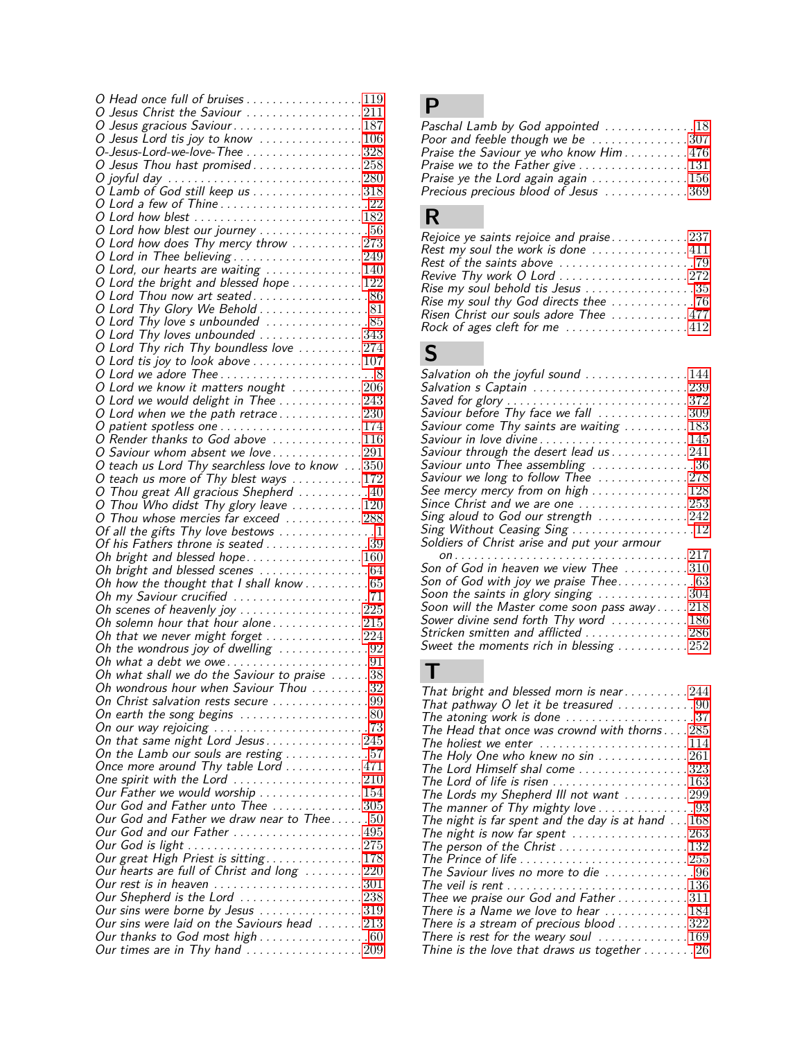| O Head once full of bruises 119                                                                                                                  |  |
|--------------------------------------------------------------------------------------------------------------------------------------------------|--|
| O Jesus Christ the Saviour 211                                                                                                                   |  |
|                                                                                                                                                  |  |
| O Jesus Lord tis joy to know<br>O-Jesus-Lord-we-love-Thee 328                                                                                    |  |
|                                                                                                                                                  |  |
| O Jesus Thou hast promised258                                                                                                                    |  |
|                                                                                                                                                  |  |
| O Lord a few of Thine22                                                                                                                          |  |
| O Lord how blest 182                                                                                                                             |  |
| O Lord how blest our journey $\ldots \ldots \ldots \ldots \ldots 56$                                                                             |  |
| O Lord how does Thy mercy throw $\ldots \ldots \ldots 273$                                                                                       |  |
|                                                                                                                                                  |  |
|                                                                                                                                                  |  |
| O Lord the bright and blessed hope $\ldots \ldots \ldots 122$                                                                                    |  |
| O Lord Thou now art seated86                                                                                                                     |  |
| O Lord Thy Glory We Behold 81                                                                                                                    |  |
| O Lord Thy love's unbounded<br>O Lord Thy loves unbounded343                                                                                     |  |
|                                                                                                                                                  |  |
| O Lord Thy rich Thy boundless love $\ldots \ldots \ldots 274$                                                                                    |  |
|                                                                                                                                                  |  |
|                                                                                                                                                  |  |
| O Lord we know it matters nought $\ldots \ldots \ldots 206$                                                                                      |  |
| O Lord we would delight in Thee 243                                                                                                              |  |
| O Lord when we the path retrace230                                                                                                               |  |
| O patient spotless one $\ldots \ldots \ldots \ldots \ldots \ldots 174$                                                                           |  |
| O Render thanks to God above 116<br>O Saviour whom absent we love291                                                                             |  |
| O teach us Lord Thy searchless love to know 350                                                                                                  |  |
| O teach us more of Thy blest ways $\ldots \ldots \ldots 172$                                                                                     |  |
| O Thou great All gracious Shepherd $\ldots \ldots \ldots 40$                                                                                     |  |
| O Thou Who didst Thy glory leave $\ldots \ldots \ldots 120$                                                                                      |  |
| O Thou whose mercies far exceed 288                                                                                                              |  |
| Of all the gifts Thy love bestows $\dots\dots\dots\dots\dots$                                                                                    |  |
| Of his Fathers throne is seated 39                                                                                                               |  |
| Oh bright and blessed hope160                                                                                                                    |  |
|                                                                                                                                                  |  |
|                                                                                                                                                  |  |
|                                                                                                                                                  |  |
|                                                                                                                                                  |  |
| Oh scenes of heavenly joy $\ldots \ldots \ldots \ldots \ldots 225$                                                                               |  |
| Oh solemn hour that hour alone215                                                                                                                |  |
| Oh that we never might forget $\ldots \ldots \ldots \ldots 224$                                                                                  |  |
| Oh the wondrous joy of dwelling $\ldots \ldots \ldots \ldots 92$                                                                                 |  |
|                                                                                                                                                  |  |
|                                                                                                                                                  |  |
| Oh wondrous hour when Saviour Thou $\ldots \ldots 32$                                                                                            |  |
| On Christ salvation rests secure 99                                                                                                              |  |
| On earth the song begins $\ldots \ldots \ldots \ldots \ldots \ldots 80$                                                                          |  |
| On our way rejoicing $\ldots \ldots \ldots \ldots \ldots \ldots \ldots \ldots$ 73                                                                |  |
| On that same night Lord Jesus245                                                                                                                 |  |
| On the Lamb our souls are resting $\ldots \ldots \ldots 57$                                                                                      |  |
| Once more around Thy table Lord 471                                                                                                              |  |
| One spirit with the Lord $\ldots \ldots \ldots \ldots \ldots \ldots 210$<br>Our Father we would worship $\ldots \ldots \ldots \ldots \ldots 154$ |  |
| Our God and Father unto Thee 305                                                                                                                 |  |
| Our God and Father we draw near to Thee. $50\,$                                                                                                  |  |
| Our God and our Father 495                                                                                                                       |  |
|                                                                                                                                                  |  |
|                                                                                                                                                  |  |
| Our hearts are full of Christ and long 220                                                                                                       |  |
| Our rest is in heaven $\ldots \ldots \ldots \ldots \ldots \ldots \ldots 301$                                                                     |  |
| Our Shepherd is the Lord 238                                                                                                                     |  |
| Our sins were borne by Jesus $\ldots \ldots \ldots \ldots \ldots 319$                                                                            |  |
| Our sins were laid on the Saviours head $\ldots \ldots 213$                                                                                      |  |
| Our thanks to God most high60<br>Our times are in Thy hand $\ldots \ldots \ldots \ldots \ldots 209$                                              |  |

# **P**

| Paschal Lamb by God appointed 18                                 |
|------------------------------------------------------------------|
| Poor and feeble though we be 307                                 |
| Praise the Saviour ye who know Him 476                           |
| Praise we to the Father give 131                                 |
| Praise ye the Lord again again $\ldots \ldots \ldots \ldots 156$ |
| Precious precious blood of Jesus 369                             |

# **R**

| Rejoice ye saints rejoice and praise237                            |  |
|--------------------------------------------------------------------|--|
| Rest my soul the work is done 411                                  |  |
|                                                                    |  |
| Revive Thy work O Lord $\ldots \ldots \ldots \ldots \ldots 272$    |  |
| Rise my soul behold tis Jesus 35                                   |  |
|                                                                    |  |
| Risen Christ our souls adore Thee 477                              |  |
| Rock of ages cleft for me $\ldots \ldots \ldots \ldots \ldots 412$ |  |

# **S**

| Salvation oh the joyful sound $\ldots \ldots \ldots \ldots 144$            |
|----------------------------------------------------------------------------|
| Salvation s Captain $\ldots \ldots \ldots \ldots \ldots \ldots \ldots 239$ |
|                                                                            |
| Saviour before Thy face we fall 309                                        |
| Saviour come Thy saints are waiting 183                                    |
| Saviour in love divine145                                                  |
|                                                                            |
| Saviour through the desert lead us 241                                     |
| Saviour unto Thee assembling 36                                            |
| Saviour we long to follow Thee 278                                         |
| See mercy mercy from on high 128                                           |
| Since Christ and we are one $\ldots \ldots \ldots \ldots \ldots 253$       |
| Sing aloud to God our strength 242                                         |
| Sing Without Ceasing Sing 12                                               |
| Soldiers of Christ arise and put your armour                               |
|                                                                            |
| Son of God in heaven we view Thee $\ldots \ldots \ldots 310$               |
|                                                                            |
| Soon the saints in glory singing $\ldots \ldots \ldots \ldots 304$         |
| Soon will the Master come soon pass away218                                |
| Sower divine send forth Thy word 186                                       |
| Stricken smitten and afflicted 286                                         |
|                                                                            |
| Sweet the moments rich in blessing 252                                     |

## **T**

| That bright and blessed morn is near244                                          |
|----------------------------------------------------------------------------------|
| That pathway O let it be treasured $\ldots \ldots \ldots 90$                     |
| The atoning work is done $\ldots \ldots \ldots \ldots \ldots 37$                 |
| The Head that once was crownd with thorns285                                     |
| The holiest we enter $\ldots \ldots \ldots \ldots \ldots \ldots 114$             |
| The Holy One who knew no $sin$ 261                                               |
| The Lord Himself shal come 323                                                   |
| The Lord of life is risen $\ldots \ldots \ldots \ldots \ldots \ldots 163$        |
| The Lords my Shepherd III not want 299                                           |
| The manner of Thy mighty love 93                                                 |
| The night is far spent and the day is at hand $\dots 168$                        |
| The night is now far spent $\ldots \ldots \ldots \ldots \ldots 263$              |
| The person of the Christ 132                                                     |
| The Prince of life $\ldots \ldots \ldots \ldots \ldots \ldots \ldots \ldots 255$ |
| The Saviour lives no more to die 96                                              |
|                                                                                  |
| Thee we praise our God and Father 311                                            |
| There is a Name we love to hear 184                                              |
| There is a stream of precious blood $\ldots \ldots \ldots 322$                   |
| There is rest for the weary soul 169                                             |
| Thine is the love that draws us together $\dots \dots 26$                        |
|                                                                                  |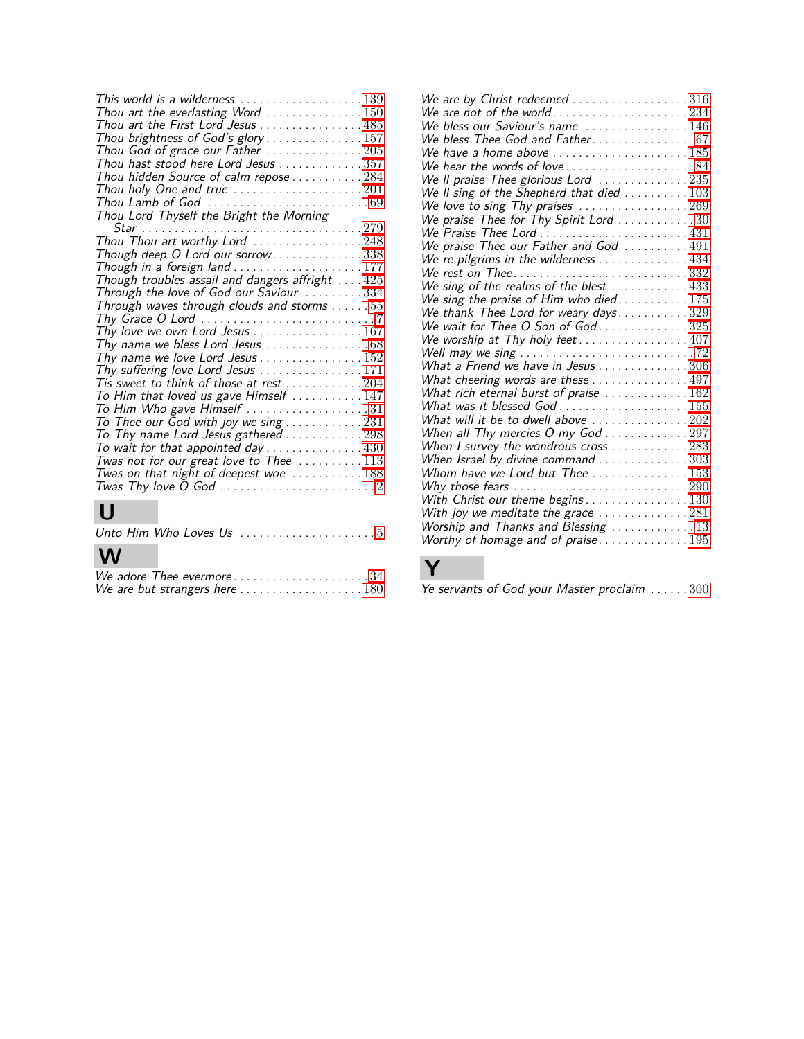| This world is a wilderness $\ldots \ldots \ldots \ldots \ldots 139$           |  |
|-------------------------------------------------------------------------------|--|
| Thou art the everlasting Word $\ldots \ldots \ldots \ldots 150$               |  |
| Thou art the First Lord Jesus 485                                             |  |
| Thou brightness of God's glory157                                             |  |
| Thou God of grace our Father $\ldots \ldots \ldots \ldots 205$                |  |
| Thou hast stood here Lord Jesus 357                                           |  |
| Thou hidden Source of calm repose 284                                         |  |
| Thou holy One and true $\ldots \ldots \ldots \ldots \ldots 201$               |  |
| Thou Lamb of God $\ldots \ldots \ldots \ldots \ldots \ldots \ldots \ldots 69$ |  |
| Thou Lord Thyself the Bright the Morning                                      |  |
|                                                                               |  |
| Thou Thou art worthy Lord 248                                                 |  |
| Though deep O Lord our sorrow338                                              |  |
| Though in a foreign land $\ldots \ldots \ldots \ldots \ldots \ldots 177$      |  |
| Though troubles assail and dangers affright $\dots$ 425                       |  |
| Through the love of God our Saviour 334                                       |  |
| Through waves through clouds and storms $\dots \dots 55$                      |  |
| Thy Grace O Lord $\ldots \ldots \ldots \ldots \ldots \ldots \ldots \ldots$    |  |
| Thy love we own Lord Jesus 167                                                |  |
| Thy name we bless Lord Jesus $\ldots \ldots \ldots \ldots \ldots 68$          |  |
| Thy name we love Lord Jesus 152                                               |  |
| Thy suffering love Lord Jesus $\ldots \ldots \ldots \ldots 171$               |  |
| Tis sweet to think of those at rest $\ldots \ldots \ldots 204$                |  |
| To Him that loved us gave Himself $\,\ldots\ldots\ldots\ldots\,147$           |  |
| To Him Who gave Himself $\ldots \ldots \ldots \ldots \ldots 31$               |  |
| To Thee our God with joy we sing $\ldots \ldots \ldots 231$                   |  |
| To Thy name Lord Jesus gathered $\ldots \ldots \ldots 298$                    |  |
| To wait for that appointed day $\ldots \ldots \ldots \ldots 430$              |  |
| Twas not for our great love to Thee $\ldots \ldots \ldots 113$                |  |
| Twas on that night of deepest woe $\ldots \ldots \ldots 188$                  |  |
|                                                                               |  |
|                                                                               |  |

## **U**

| Unto Him Who Loves Us $\ldots \ldots \ldots \ldots \ldots 5$ |  |  |  |
|--------------------------------------------------------------|--|--|--|
| W                                                            |  |  |  |
| We adore Thee evermore34                                     |  |  |  |

We are but strangers here  $\ldots \ldots \ldots \ldots \ldots 180$  $\ldots \ldots \ldots \ldots \ldots 180$ 

| We are by Christ redeemed $\ldots \ldots \ldots \ldots \ldots 316$<br>We are not of the world234<br>We bless our Saviour's name $\ldots \ldots \ldots \ldots 146$<br>We bless Thee God and Father67 |
|-----------------------------------------------------------------------------------------------------------------------------------------------------------------------------------------------------|
| We have a home above $\ldots \ldots \ldots \ldots \ldots \ldots 185$<br>We hear the words of love84                                                                                                 |
| We II praise Thee glorious Lord $\ldots \ldots \ldots \ldots 235$                                                                                                                                   |
| We II sing of the Shepherd that died $\ldots \ldots \ldots 103$                                                                                                                                     |
| We love to sing Thy praises $\ldots \ldots \ldots \ldots \ldots 269$                                                                                                                                |
| We praise Thee for Thy Spirit Lord $\ldots \ldots \ldots 30$                                                                                                                                        |
| We Praise Thee Lord $\ldots \ldots \ldots \ldots \ldots \ldots 431$                                                                                                                                 |
| We praise Thee our Father and God $\,\ldots\ldots\ldots\,491$                                                                                                                                       |
| We re pilgrims in the wilderness 434                                                                                                                                                                |
| We rest on Thee332                                                                                                                                                                                  |
| We sing of the realms of the blest $\ldots \ldots \ldots 433$                                                                                                                                       |
| We sing the praise of Him who died. $\ldots \ldots \ldots 175$                                                                                                                                      |
| We thank Thee Lord for weary days329<br>We wait for Thee O Son of God325                                                                                                                            |
| We worship at Thy holy feet407                                                                                                                                                                      |
| Well may we sing $\ldots \ldots \ldots \ldots \ldots \ldots \ldots \ldots \ldots$                                                                                                                   |
| What a Friend we have in Jesus 306                                                                                                                                                                  |
| What cheering words are these $\ldots \ldots \ldots \ldots 497$                                                                                                                                     |
| What rich eternal burst of praise $\ldots \ldots \ldots \ldots 162$                                                                                                                                 |
| What was it blessed God $\ldots \ldots \ldots \ldots \ldots \ldots 155$                                                                                                                             |
| What will it be to dwell above $\ldots \ldots \ldots \ldots 202$                                                                                                                                    |
| When all Thy mercies $O$ my God $\ldots \ldots \ldots \ldots 297$                                                                                                                                   |
| When I survey the wondrous cross $\ldots \ldots \ldots 283$                                                                                                                                         |
| When Israel by divine command $\ldots \ldots \ldots \ldots 303$<br>Whom have we Lord but Thee $\ldots \ldots \ldots \ldots 153$                                                                     |
| Why those fears $\ldots \ldots \ldots \ldots \ldots \ldots \ldots \ldots 290$                                                                                                                       |
| With Christ our theme begins130                                                                                                                                                                     |
| With joy we meditate the grace $\ldots \ldots \ldots \ldots 281$                                                                                                                                    |
| Worship and Thanks and Blessing 13                                                                                                                                                                  |
| Worthy of homage and of praise195                                                                                                                                                                   |

Ye servants of God your Master proclaim ......[300](#page-15-25)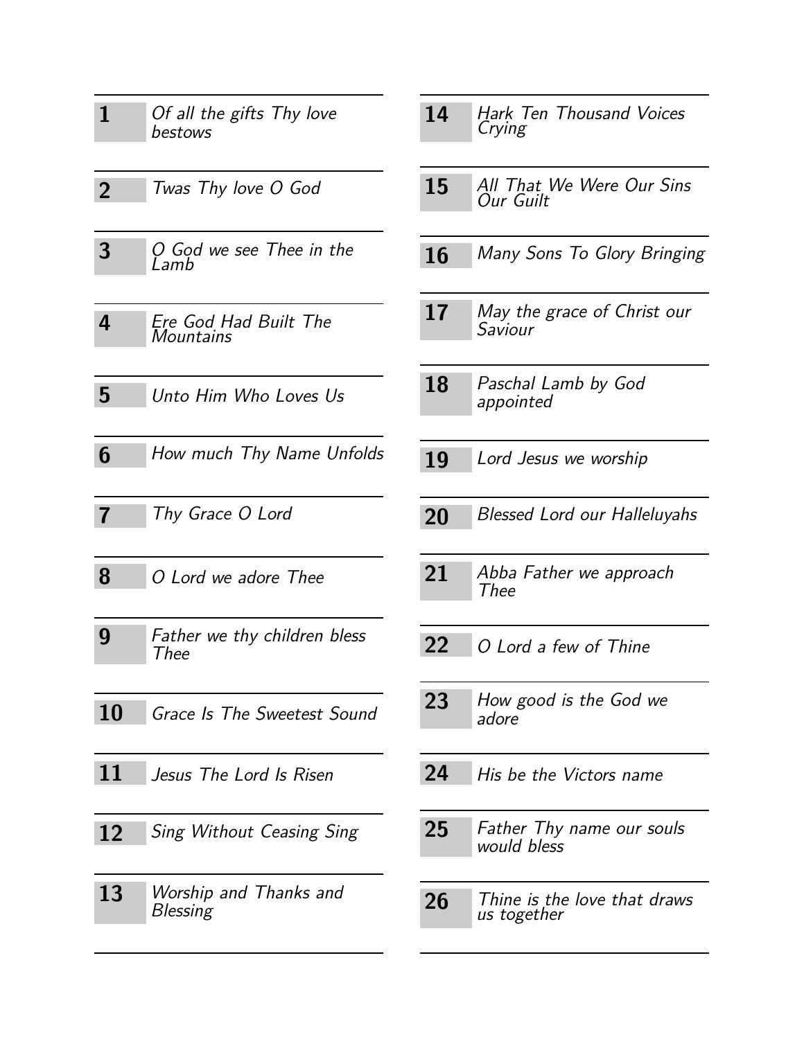<span id="page-4-24"></span><span id="page-4-23"></span><span id="page-4-18"></span><span id="page-4-15"></span><span id="page-4-3"></span>

| 1              | Of all the gifts Thy love<br>bestows      | 14 |
|----------------|-------------------------------------------|----|
| $\overline{2}$ | Twas Thy love O God                       | 15 |
| $\mathbf{3}$   | O God we see Thee in the<br>Lamb          | 16 |
| 4              | Ere God Had Built The<br>Mountains        | 17 |
| 5              | Unto Him Who Loves Us                     | 18 |
| 6              | How much Thy Name Unfolds                 | 19 |
| $\overline{7}$ | Thy Grace O Lord                          | 20 |
| 8              | O Lord we adore Thee                      | 21 |
| 9              | Father we thy children bless<br>Thee      | 22 |
| <b>10</b>      | Grace Is The Sweetest Sound               | 23 |
| 11             | Jesus The Lord Is Risen                   | 24 |
| 12             | Sing Without Ceasing Sing                 | 25 |
| 13             | Worship and Thanks and<br><b>Blessing</b> | 26 |

<span id="page-4-7"></span>

| 14 |           | <b>Hark Ten Thousand Voices</b> |  |
|----|-----------|---------------------------------|--|
|    | $C$ rying |                                 |  |

- <span id="page-4-1"></span>**15** All That We Were Our Sins Our Guilt
- <span id="page-4-13"></span>**16** Many Sons To Glory Bringing
- <span id="page-4-14"></span>**17** May the grace of Christ our Saviour
- <span id="page-4-19"></span>**18** Paschal Lamb by God appointed
- <span id="page-4-12"></span><span id="page-4-10"></span>Lord Jesus we worship
- <span id="page-4-22"></span><span id="page-4-2"></span>**20** Blessed Lord our Halleluyahs
- <span id="page-4-17"></span><span id="page-4-0"></span>**21** Abba Father we approach Thee
- <span id="page-4-16"></span><span id="page-4-5"></span>**22** O Lord a few of Thine
- <span id="page-4-9"></span><span id="page-4-6"></span>**23** How good is the God we adore
- <span id="page-4-11"></span><span id="page-4-8"></span>**24** His be the Victors name
- <span id="page-4-20"></span><span id="page-4-4"></span>**25** Father Thy name our souls would bless
- <span id="page-4-25"></span><span id="page-4-21"></span>Thine is the love that draws us together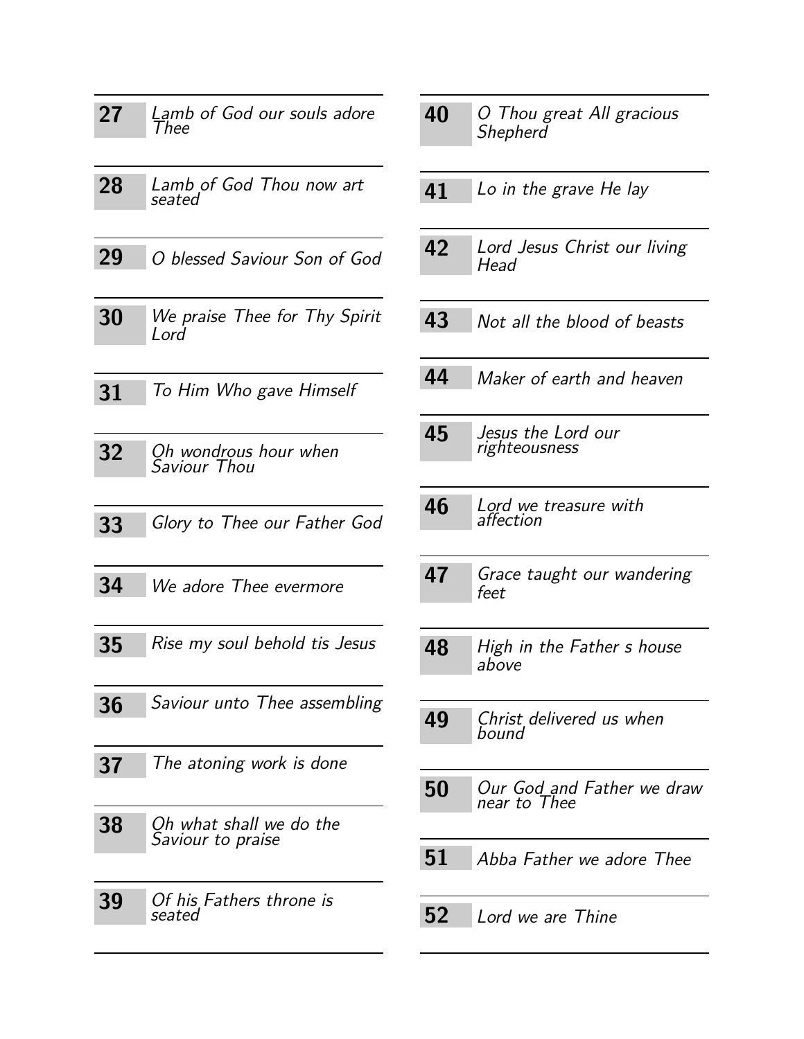<span id="page-5-25"></span><span id="page-5-24"></span><span id="page-5-23"></span><span id="page-5-22"></span><span id="page-5-21"></span><span id="page-5-20"></span><span id="page-5-18"></span><span id="page-5-17"></span><span id="page-5-16"></span><span id="page-5-14"></span><span id="page-5-7"></span><span id="page-5-6"></span><span id="page-5-2"></span>

| 27        | Lamb of God our souls adore<br>Thee          |
|-----------|----------------------------------------------|
| 28        | Lamb of God Thou now art<br>seated           |
| 29        | O blessed Saviour Son of God                 |
| 30        | We praise Thee for Thy Spirit<br>Lord        |
| 31        | To Him Who gave Himself                      |
| 32        | Oh wondrous hour when<br>Saviour Thou        |
| 33        | Glory to Thee our Father God                 |
| 34        | We adore Thee evermore                       |
| 35        | Rise my soul behold tis Jesus                |
| 36        | Saviour unto Thee assembling                 |
| 37        | The atoning work is done                     |
| 38        | Oh what shall we do the<br>Saviour to praise |
| <b>39</b> | Of his Fathers throne is<br>seated           |

<span id="page-5-19"></span><span id="page-5-15"></span><span id="page-5-13"></span><span id="page-5-12"></span><span id="page-5-11"></span><span id="page-5-10"></span><span id="page-5-9"></span><span id="page-5-8"></span><span id="page-5-5"></span><span id="page-5-4"></span><span id="page-5-3"></span><span id="page-5-1"></span><span id="page-5-0"></span>

| 40 | O Thou great All gracious<br>Shepherd      |
|----|--------------------------------------------|
| 41 | Lo in the grave He lay                     |
| 42 | Lord Jesus Christ our living<br>Head       |
| 43 | Not all the blood of beasts                |
| 44 | Maker of earth and heaven                  |
| 45 | Jesus the Lord our<br>righteousness        |
| 46 | Lord we treasure with<br>affection         |
| 47 | Grace taught our wandering<br>feet         |
| 48 | High in the Father s house<br>above        |
| 49 | Christ delivered us when<br>bound          |
| 50 | Our God and Father we draw<br>near to Thee |
| 51 | Abba Father we adore Thee                  |
| 52 | Lord we are Thine                          |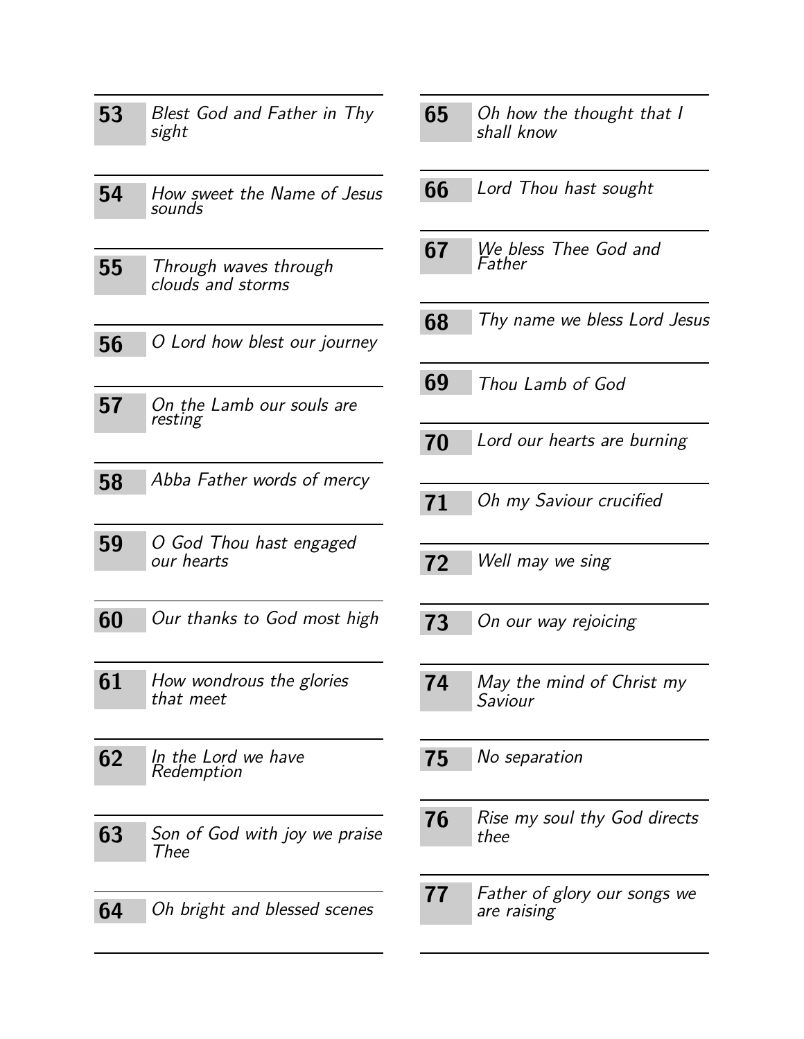<span id="page-6-21"></span><span id="page-6-19"></span><span id="page-6-17"></span><span id="page-6-16"></span><span id="page-6-12"></span><span id="page-6-11"></span><span id="page-6-10"></span><span id="page-6-5"></span><span id="page-6-4"></span><span id="page-6-3"></span><span id="page-6-1"></span><span id="page-6-0"></span>

| 53 | Blest God and Father in Thy<br>sight       |
|----|--------------------------------------------|
| 54 | How sweet the Name of Jesus<br>sounds      |
| 55 | Through waves through<br>clouds and storms |
| 56 | O Lord how blest our journey               |
| 57 | On the Lamb our souls are<br>resting       |
| 58 | Abba Father words of mercy                 |
| 59 | O God Thou hast engaged<br>our hearts      |
| 60 | Our thanks to God most high                |
| 61 | How wondrous the glories<br>that meet      |
| 62 | In the Lord we have<br>Redemption          |
| 63 | Son of God with joy we praise<br>Thee      |
| 64 | Oh bright and blessed scenes               |

<span id="page-6-24"></span><span id="page-6-23"></span><span id="page-6-22"></span><span id="page-6-20"></span><span id="page-6-18"></span><span id="page-6-15"></span><span id="page-6-14"></span><span id="page-6-13"></span><span id="page-6-9"></span><span id="page-6-8"></span><span id="page-6-7"></span><span id="page-6-6"></span><span id="page-6-2"></span>

| 65 | Oh how the thought that I<br>shall know            |
|----|----------------------------------------------------|
| 66 | Lord Thou hast sought                              |
| 67 | We bless Thee God and<br>Father                    |
| 68 | Thy name we bless Lord Jesus                       |
| 69 | Thou Lamb of God                                   |
| 70 | Lord our hearts are burning                        |
| 71 | Oh my Saviour crucified                            |
| 72 | Well may we sing                                   |
| 73 | On our way rejoicing                               |
| 74 | May the mind of Christ my<br>Saviour               |
| 75 | No separation                                      |
| 76 | Rise my soul thy God directs<br>thee               |
| 77 | <i>Father of glory our songs we</i><br>are raising |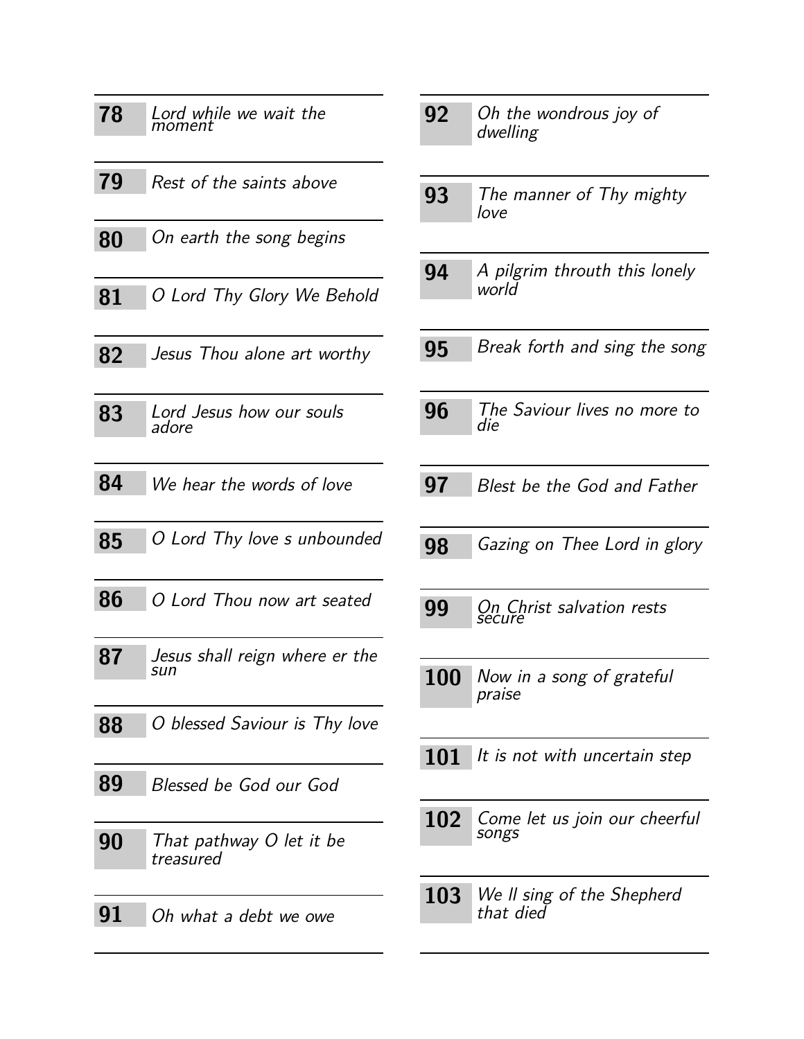<span id="page-7-24"></span><span id="page-7-21"></span><span id="page-7-20"></span><span id="page-7-19"></span><span id="page-7-17"></span><span id="page-7-15"></span><span id="page-7-14"></span><span id="page-7-13"></span><span id="page-7-12"></span><span id="page-7-10"></span><span id="page-7-9"></span><span id="page-7-8"></span><span id="page-7-7"></span><span id="page-7-1"></span>

| 78 | Lord while we wait the<br>moment      |
|----|---------------------------------------|
| 79 | Rest of the saints above              |
| 80 | On earth the song begins              |
| 81 | O Lord Thy Glory We Behold            |
| 82 | Jesus Thou alone art worthy           |
| 83 | Lord Jesus how our souls<br>adore     |
| 84 | We hear the words of love             |
| 85 | O Lord Thy love s unbounded           |
| 86 | O Lord Thou now art seated            |
| 87 | Jesus shall reign where er the<br>sun |
| 88 | O blessed Saviour is Thy love         |
| 89 | Blessed be God our God                |
| 90 | That pathway O let it be<br>treasured |
| 91 | Oh what a debt we owe                 |

<span id="page-7-25"></span><span id="page-7-23"></span><span id="page-7-22"></span><span id="page-7-18"></span><span id="page-7-16"></span><span id="page-7-11"></span><span id="page-7-6"></span><span id="page-7-5"></span><span id="page-7-4"></span><span id="page-7-3"></span><span id="page-7-2"></span><span id="page-7-0"></span>

| 92         | Oh the wondrous joy of<br>dwelling      |
|------------|-----------------------------------------|
| 93         | The manner of Thy mighty<br>love        |
| 94         | A pilgrim throuth this lonely<br>world  |
| 95         | Break forth and sing the song           |
| 96         | The Saviour lives no more to<br>die     |
| 97         | Blest be the God and Father             |
| 98         | Gazing on Thee Lord in glory            |
| 99         | On Christ salvation rests<br>šecure     |
| 100        | Now in a song of grateful<br>praise     |
| <b>101</b> | It is not with uncertain step           |
| 102        | Come let us join our cheerful<br>songs  |
| <b>103</b> | We II sing of the Shepherd<br>that died |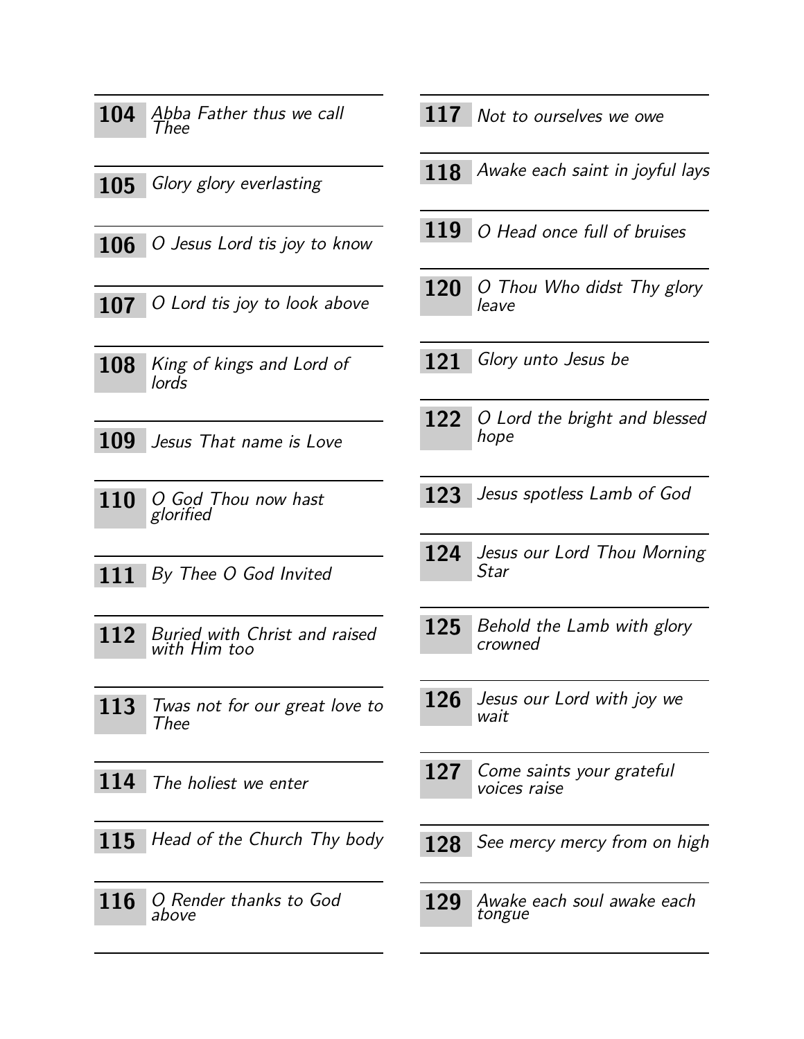<span id="page-8-20"></span><span id="page-8-18"></span><span id="page-8-14"></span><span id="page-8-13"></span><span id="page-8-7"></span><span id="page-8-0"></span>

| 104        | Abba Father thus we call<br>Thee              | 1            |
|------------|-----------------------------------------------|--------------|
|            | 105 Glory glory everlasting                   | $\mathbf{1}$ |
|            | $106$   O Jesus Lord tis joy to know          | 1            |
|            | $107$   O Lord tis joy to look above          | 1            |
| 108        | King of kings and Lord of<br>lords            | 1            |
| <b>109</b> | Jesus That name is Love                       | $\mathbf 1$  |
| 110        | O God Thou now hast<br>glorified              | 1            |
| 111        | By Thee O God Invited                         | $\mathbf{1}$ |
| 112        | Buried with Christ and raised<br>with Him too | $\mathbf{1}$ |
| 113        | Twas not for our great love to<br>Thee        | T            |
| 114        | The holiest we enter                          | 1            |
| <b>115</b> | Head of the Church Thy body                   |              |
| 116        | O Render thanks to God<br>above               | 1            |
|            |                                               |              |

<span id="page-8-15"></span>17 Not to ourselves we owe

- <span id="page-8-1"></span>**118** Awake each saint in joyful lays
- <span id="page-8-17"></span>19 O Head once full of bruises
- <span id="page-8-22"></span>**20** O Thou Who didst Thy glory leave
- <span id="page-8-8"></span>21 Glory unto Jesus be
- <span id="page-8-19"></span>22 O Lord the bright and blessed hope
- <span id="page-8-16"></span><span id="page-8-12"></span>**123** Jesus spotless Lamb of God
- <span id="page-8-10"></span><span id="page-8-5"></span>24 Jesus our Lord Thou Morning Star
- <span id="page-8-4"></span><span id="page-8-3"></span>25 Behold the Lamb with glory crowned
- <span id="page-8-25"></span><span id="page-8-11"></span>26 Jesus our Lord with joy we wait
- <span id="page-8-24"></span><span id="page-8-6"></span>**127** Come saints your grateful voices raise
- <span id="page-8-23"></span><span id="page-8-9"></span>28 See mercy mercy from on high
- <span id="page-8-21"></span><span id="page-8-2"></span>**129** Awake each soul awake each tongue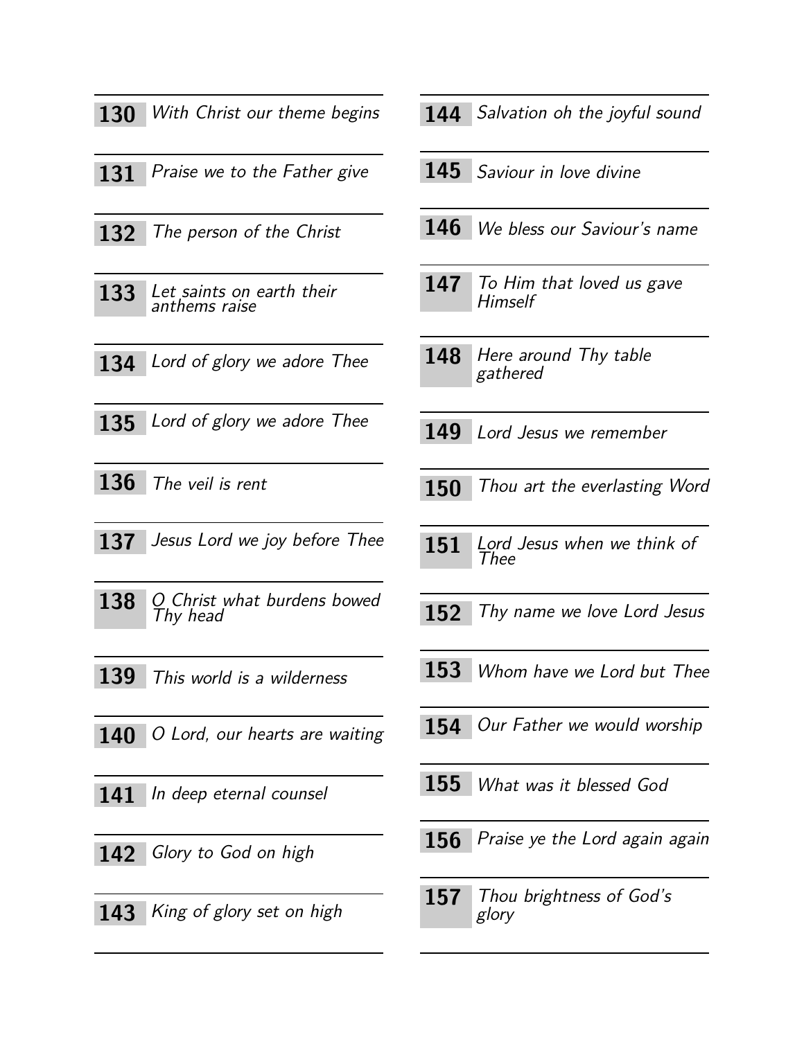<span id="page-9-27"></span><span id="page-9-17"></span><span id="page-9-13"></span><span id="page-9-9"></span><span id="page-9-8"></span><span id="page-9-5"></span>

| <b>130</b> | With Christ our theme begins               |
|------------|--------------------------------------------|
| 131        | Praise we to the Father give               |
| 132        | The person of the Christ                   |
| 133        | Let saints on earth their<br>anthems raise |
| 134        | Lord of glory we adore Thee                |
| 135        | Lord of glory we adore Thee                |
| 136        | The veil is rent                           |
| 137        | Jesus Lord we joy before Thee              |
| 138        | O Christ what burdens bowed<br>Thy head    |
| 139        | This world is a wilderness                 |
|            | 140 O Lord, our hearts are waiting         |
|            | 141 In deep eternal counsel                |
|            | 142 Glory to God on high                   |
|            | 143 King of glory set on high              |

- <span id="page-9-15"></span>144 Salvation oh the joyful sound
- <span id="page-9-16"></span>Saviour in love divine
- <span id="page-9-24"></span>We bless our Saviour's name
- <span id="page-9-23"></span>147 To Him that loved us gave **Himself**
- <span id="page-9-1"></span>148 Here around Thy table gathered
- <span id="page-9-6"></span>Lord Jesus we remember
- <span id="page-9-20"></span><span id="page-9-18"></span>150 Thou art the everlasting Word
- <span id="page-9-7"></span><span id="page-9-3"></span>151 Lord Jesus when we think of Thee
- <span id="page-9-22"></span><span id="page-9-10"></span>152 Thy name we love Lord Jesus
- <span id="page-9-26"></span><span id="page-9-19"></span>Whom have we Lord but Thee
- <span id="page-9-12"></span><span id="page-9-11"></span>Our Father we would worship
- <span id="page-9-25"></span><span id="page-9-2"></span>What was it blessed God
- <span id="page-9-14"></span><span id="page-9-0"></span>Praise ye the Lord again again
- <span id="page-9-21"></span><span id="page-9-4"></span>157 Thou brightness of God's glory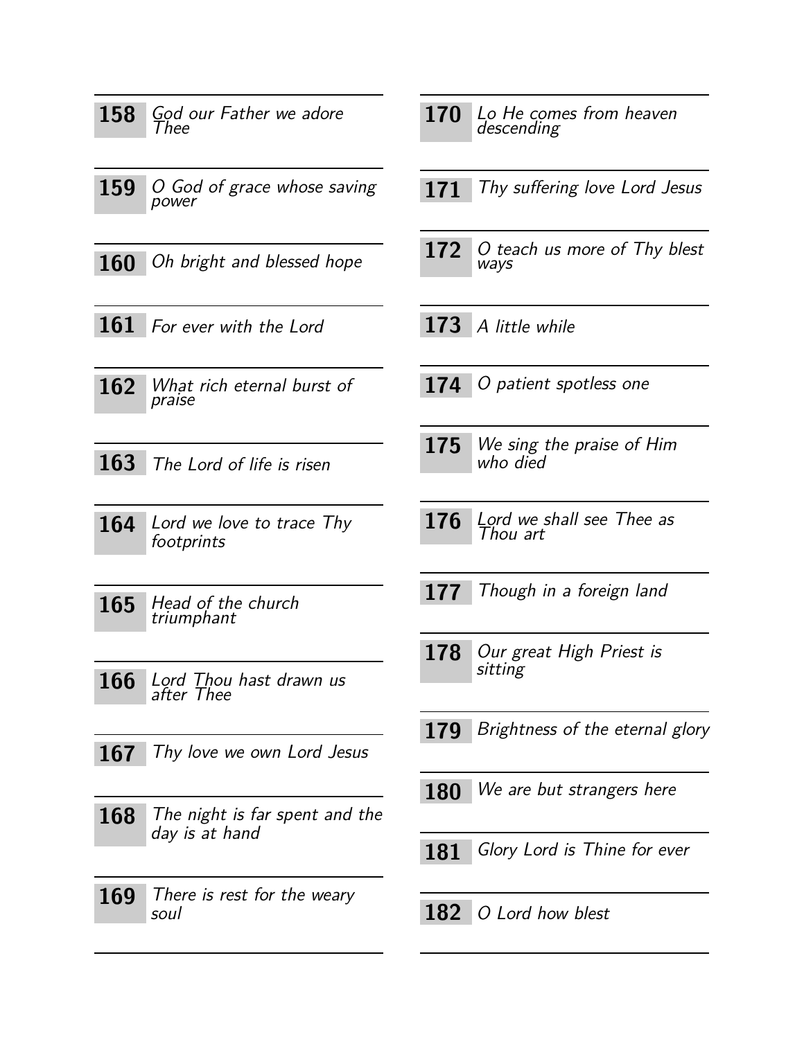<span id="page-10-24"></span><span id="page-10-23"></span><span id="page-10-22"></span><span id="page-10-21"></span><span id="page-10-20"></span><span id="page-10-19"></span><span id="page-10-18"></span><span id="page-10-17"></span><span id="page-10-16"></span><span id="page-10-15"></span><span id="page-10-14"></span><span id="page-10-13"></span><span id="page-10-12"></span><span id="page-10-11"></span><span id="page-10-10"></span><span id="page-10-9"></span><span id="page-10-8"></span><span id="page-10-7"></span><span id="page-10-6"></span><span id="page-10-5"></span><span id="page-10-4"></span><span id="page-10-3"></span><span id="page-10-2"></span><span id="page-10-1"></span><span id="page-10-0"></span>

| God our Father we adore<br>158<br>Thee                  | 170<br>Lo He comes from heaven<br>descending |
|---------------------------------------------------------|----------------------------------------------|
| 159<br>O God of grace whose saving<br>power             | 171<br>Thy suffering love Lord Jesus         |
| Oh bright and blessed hope<br><b>160</b>                | 172<br>O teach us more of Thy blest<br>ways  |
| 161 For ever with the Lord                              | 173<br>A little while                        |
| 162<br>What rich eternal burst of<br>praise             | 174<br>O patient spotless one                |
| <b>163</b><br>The Lord of life is risen                 | We sing the praise of Him<br>175<br>who died |
| 164<br>Lord we love to trace Thy<br>footprints          | Lord we shall see Thee as<br>176<br>Thou art |
| 165<br>Head of the church<br>triumphant                 | Though in a foreign land<br>177              |
| 166<br>Lord Thou hast drawn us<br><i>after Thee</i>     | 178<br>Our great High Priest is<br>sitting   |
| Thy love we own Lord Jesus<br>167                       | Brightness of the eternal glory<br>179       |
| The night is far spent and the<br>168<br>day is at hand | We are but strangers here<br><b>180</b>      |
|                                                         | Glory Lord is Thine for ever<br>181          |
| 169<br>There is rest for the weary<br>soul              | 182<br>O Lord how blest                      |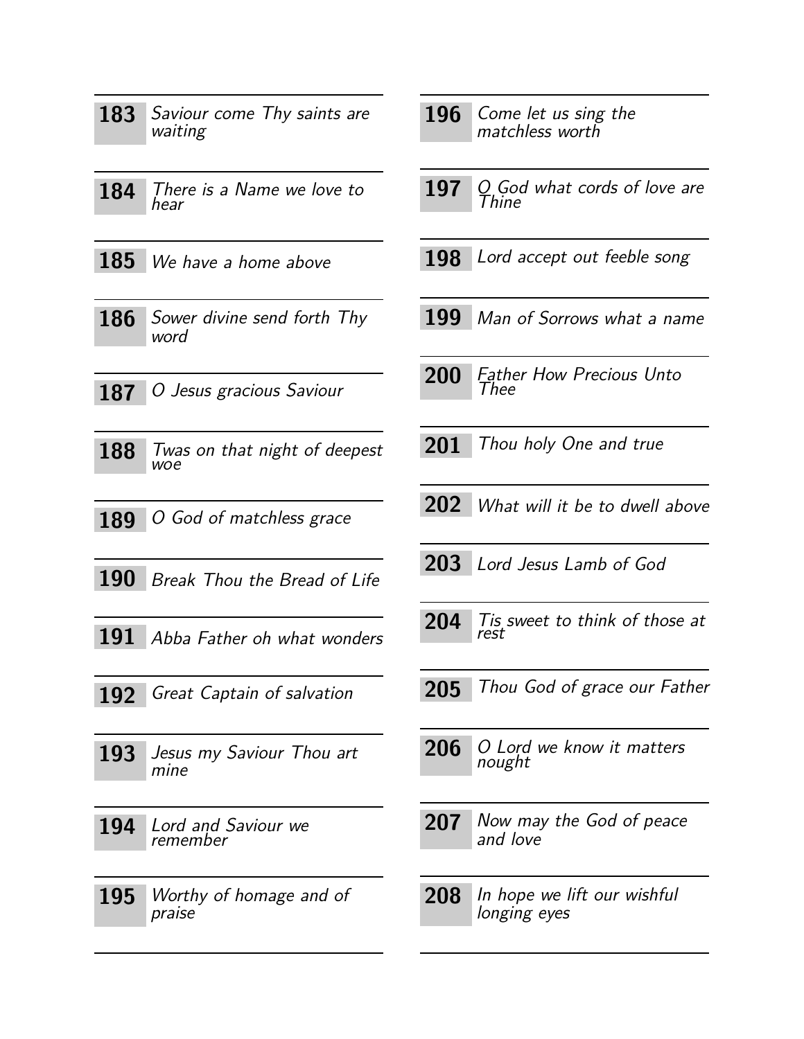<span id="page-11-23"></span><span id="page-11-22"></span><span id="page-11-18"></span><span id="page-11-17"></span><span id="page-11-16"></span><span id="page-11-14"></span><span id="page-11-13"></span><span id="page-11-12"></span><span id="page-11-10"></span><span id="page-11-7"></span><span id="page-11-4"></span><span id="page-11-2"></span><span id="page-11-1"></span><span id="page-11-0"></span>

| 183        | Saviour come Thy saints are<br>waiting | 196        | Come let us sing the<br>matchless worth     |
|------------|----------------------------------------|------------|---------------------------------------------|
| 184        | There is a Name we love to<br>hear     | 197        | $Q$ God what cords of love are<br>Thine     |
| 185        | We have a home above                   | 198        | Lord accept out feeble song                 |
| 186        | Sower divine send forth Thy<br>word    | 199        | Man of Sorrows what a name                  |
| 187        | O Jesus gracious Saviour               | <b>200</b> | <b>Father How Precious Unto</b><br>Thee     |
| 188        | Twas on that night of deepest<br>woe   | 201        | Thou holy One and true                      |
| 189        | O God of matchless grace               | <b>202</b> | What will it be to dwell above              |
| 190        | Break Thou the Bread of Life           | 203        | Lord Jesus Lamb of God                      |
| 191        | Abba Father oh what wonders            | 204        | Tis sweet to think of those at<br>rest      |
| 192        | Great Captain of salvation             | 205        | Thou God of grace our Father                |
| 193        | Jesus my Saviour Thou art<br>mine      | 206        | O Lord we know it matters<br>nought         |
| 194        | Lord and Saviour we<br>remember        | 207        | Now may the God of peace<br>and love        |
| <b>195</b> | Worthy of homage and of<br>praise      | 208        | In hope we lift our wishful<br>longing eyes |

<span id="page-11-25"></span><span id="page-11-24"></span><span id="page-11-21"></span><span id="page-11-20"></span><span id="page-11-19"></span><span id="page-11-15"></span><span id="page-11-11"></span><span id="page-11-9"></span><span id="page-11-8"></span><span id="page-11-6"></span><span id="page-11-5"></span><span id="page-11-3"></span> $\overline{\phantom{0}}$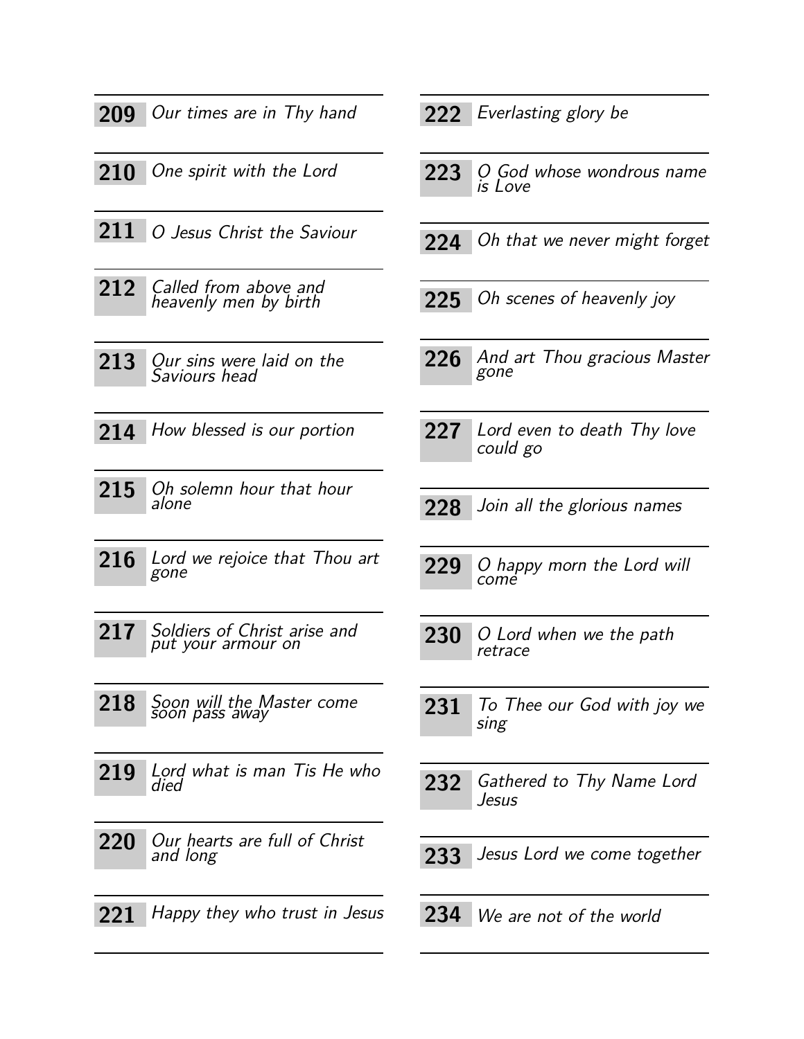<span id="page-12-21"></span><span id="page-12-20"></span><span id="page-12-18"></span><span id="page-12-13"></span><span id="page-12-5"></span><span id="page-12-1"></span>

| 209 | Our times are in Thy hand                          |
|-----|----------------------------------------------------|
|     | 210 One spirit with the Lord                       |
|     | 211 O Jesus Christ the Saviour                     |
| 212 | Called from above and<br>heavenly men by birth     |
| 213 | Our sins were laid on the<br>Saviours head         |
|     | 214 How blessed is our portion                     |
| 215 | Oh solemn hour that hour<br>alone                  |
| 216 | Lord we rejoice that Thou art<br>gone              |
| 217 | Soldiers of Christ arise and<br>put your armour on |
| 218 | Soon will the Master come<br>soon pass away        |
| 219 | Lord what is man Tis He who<br>died                |
| 220 | Our hearts are full of Christ<br>and long          |
| 221 | Happy they who trust in Jesus                      |

#### <span id="page-12-2"></span>222 Everlasting glory be

- <span id="page-12-11"></span>223 O God whose wondrous name is Love
- <span id="page-12-17"></span>224 Oh that we never might forget
- <span id="page-12-15"></span>225 Oh scenes of heavenly joy
- <span id="page-12-0"></span>226 And art Thou gracious Master gone
- <span id="page-12-8"></span>227 Lord even to death Thy love could go
- <span id="page-12-16"></span><span id="page-12-7"></span>228 Join all the glorious names
- <span id="page-12-12"></span><span id="page-12-9"></span>**229** O happy morn the Lord will come
- <span id="page-12-22"></span><span id="page-12-14"></span>**230** O Lord when we the path retrace
- <span id="page-12-24"></span><span id="page-12-23"></span>231 To Thee our God with joy we sing
- <span id="page-12-10"></span><span id="page-12-3"></span>232 Gathered to Thy Name Lord Jesus
- <span id="page-12-19"></span><span id="page-12-6"></span>233 Jesus Lord we come together
- <span id="page-12-25"></span><span id="page-12-4"></span>**234** We are not of the world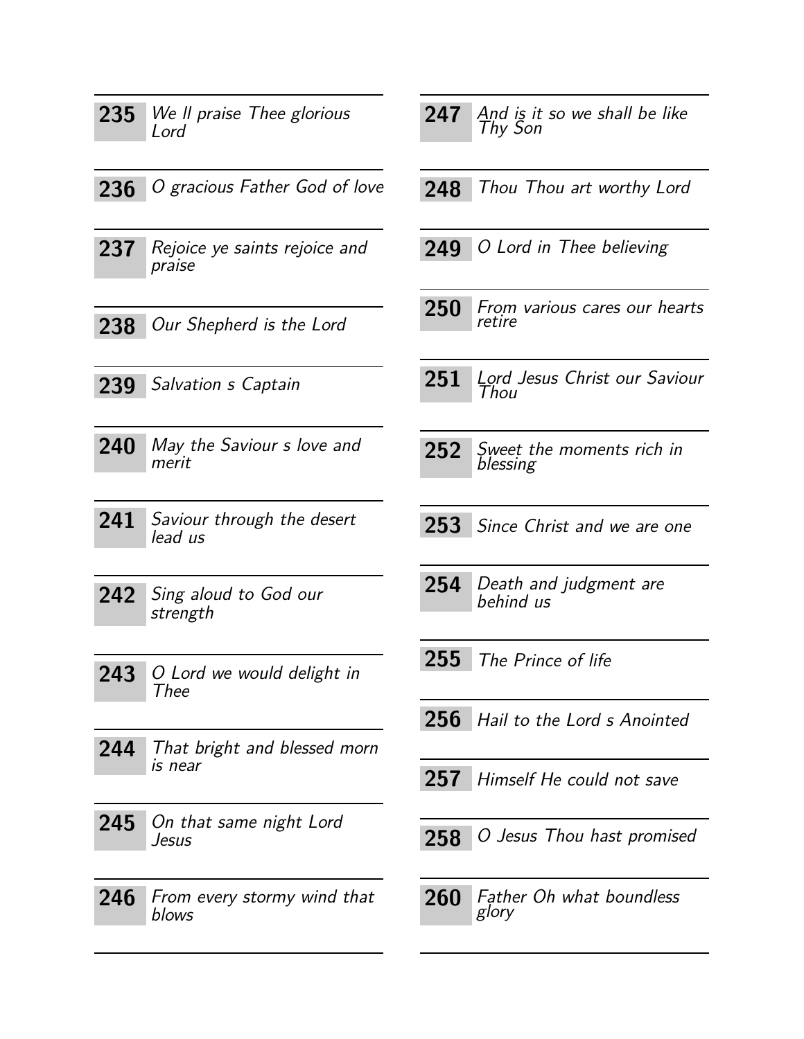<span id="page-13-24"></span><span id="page-13-23"></span><span id="page-13-22"></span><span id="page-13-21"></span><span id="page-13-20"></span><span id="page-13-19"></span><span id="page-13-18"></span><span id="page-13-17"></span><span id="page-13-16"></span><span id="page-13-15"></span><span id="page-13-14"></span><span id="page-13-13"></span><span id="page-13-12"></span><span id="page-13-11"></span><span id="page-13-10"></span><span id="page-13-9"></span><span id="page-13-8"></span><span id="page-13-7"></span><span id="page-13-6"></span><span id="page-13-5"></span><span id="page-13-4"></span><span id="page-13-3"></span><span id="page-13-2"></span><span id="page-13-1"></span><span id="page-13-0"></span>

| 235 | We Il praise Thee glorious              | 247 | And is it so we shall be like<br>Thy Son |
|-----|-----------------------------------------|-----|------------------------------------------|
|     | Lord                                    |     |                                          |
| 236 | O gracious Father God of love           | 248 | Thou Thou art worthy Lord                |
| 237 | Rejoice ye saints rejoice and<br>praise | 249 | O Lord in Thee believing                 |
| 238 | Our Shepherd is the Lord                | 250 | From various cares our hearts<br>retire  |
|     |                                         |     |                                          |
| 239 | Salvation s Captain                     | 251 | Lord Jesus Christ our Saviour<br>Thou    |
| 240 | May the Saviour s love and<br>merit     | 252 | Sweet the moments rich in<br>blessing    |
| 241 | Saviour through the desert<br>lead us   | 253 | Since Christ and we are one              |
| 242 | Sing aloud to God our<br>strength       | 254 | Death and judgment are<br>behind us      |
| 243 | O Lord we would delight in<br>Thee      | 255 | The Prince of life                       |
|     |                                         | 256 | Hail to the Lord s Anointed              |
| 244 | That bright and blessed morn<br>is near | 257 | Himself He could not save                |
| 245 | On that same night Lord<br>Jesus        | 258 | O Jesus Thou hast promised               |
| 246 | From every stormy wind that<br>blows    | 260 | <b>Father Oh what boundless</b><br>glory |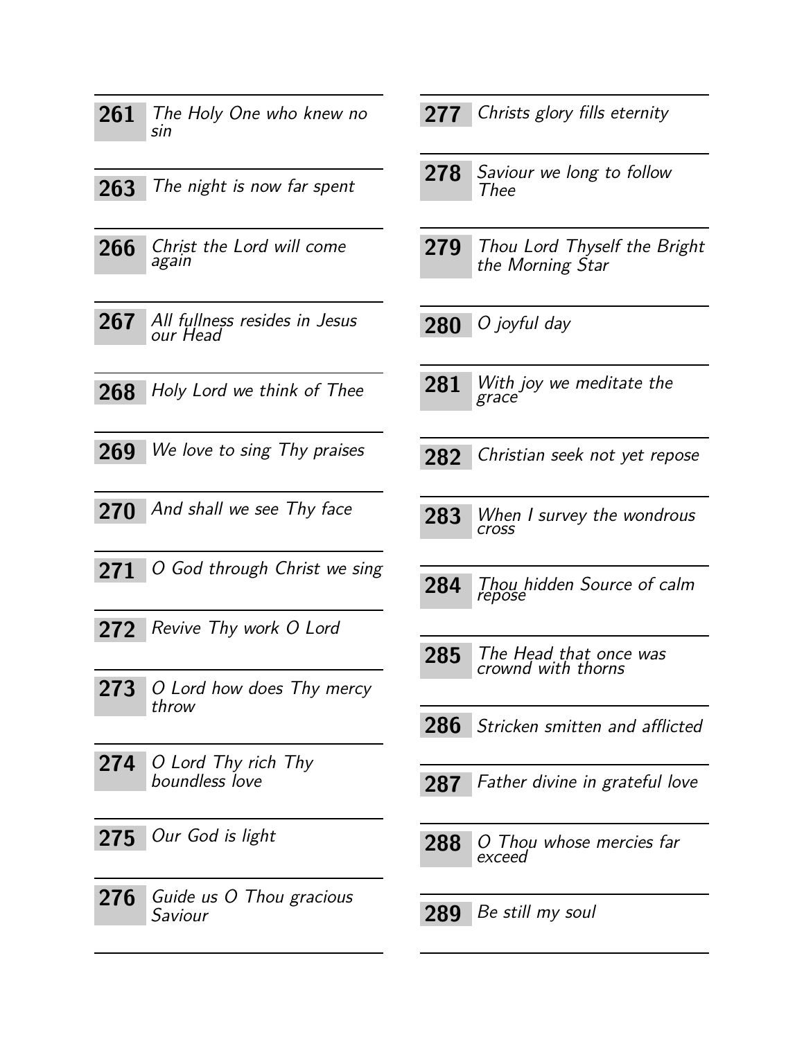<span id="page-14-25"></span><span id="page-14-24"></span><span id="page-14-23"></span><span id="page-14-22"></span><span id="page-14-21"></span><span id="page-14-20"></span><span id="page-14-19"></span><span id="page-14-18"></span><span id="page-14-17"></span><span id="page-14-16"></span><span id="page-14-15"></span><span id="page-14-14"></span><span id="page-14-13"></span><span id="page-14-12"></span><span id="page-14-11"></span><span id="page-14-10"></span><span id="page-14-9"></span><span id="page-14-8"></span><span id="page-14-7"></span><span id="page-14-6"></span><span id="page-14-5"></span><span id="page-14-4"></span><span id="page-14-3"></span><span id="page-14-2"></span><span id="page-14-1"></span><span id="page-14-0"></span>

| 261 | The Holy One who knew no<br>sin           | 277 | Christs glory fills eternity                     |
|-----|-------------------------------------------|-----|--------------------------------------------------|
| 263 | The night is now far spent                | 278 | Saviour we long to follow<br>Thee                |
| 266 | Christ the Lord will come<br>again        | 279 | Thou Lord Thyself the Bright<br>the Morning Star |
| 267 | All fullness resides in Jesus<br>our Head | 280 | O joyful day                                     |
| 268 | Holy Lord we think of Thee                | 281 | With joy we meditate the<br>grace                |
| 269 | We love to sing Thy praises               | 282 | Christian seek not yet repose                    |
| 270 | And shall we see Thy face                 | 283 | When I survey the wondrous<br><b>cross</b>       |
| 271 | O God through Christ we sing              | 284 | Thou hidden Source of calm<br>repose             |
| 272 | Revive Thy work O Lord                    |     |                                                  |
| 273 | O Lord how does Thy mercy<br>throw        | 285 | The Head that once was<br>crownd with thorns     |
|     |                                           | 286 | Stricken smitten and afflicted                   |
| 274 | O Lord Thy rich Thy<br>boundless love     | 287 | Father divine in grateful love                   |
| 275 | Our God is light                          | 288 | O Thou whose mercies far<br>exceed               |
| 276 | Guide us O Thou gracious<br>Saviour       | 289 | Be still my soul                                 |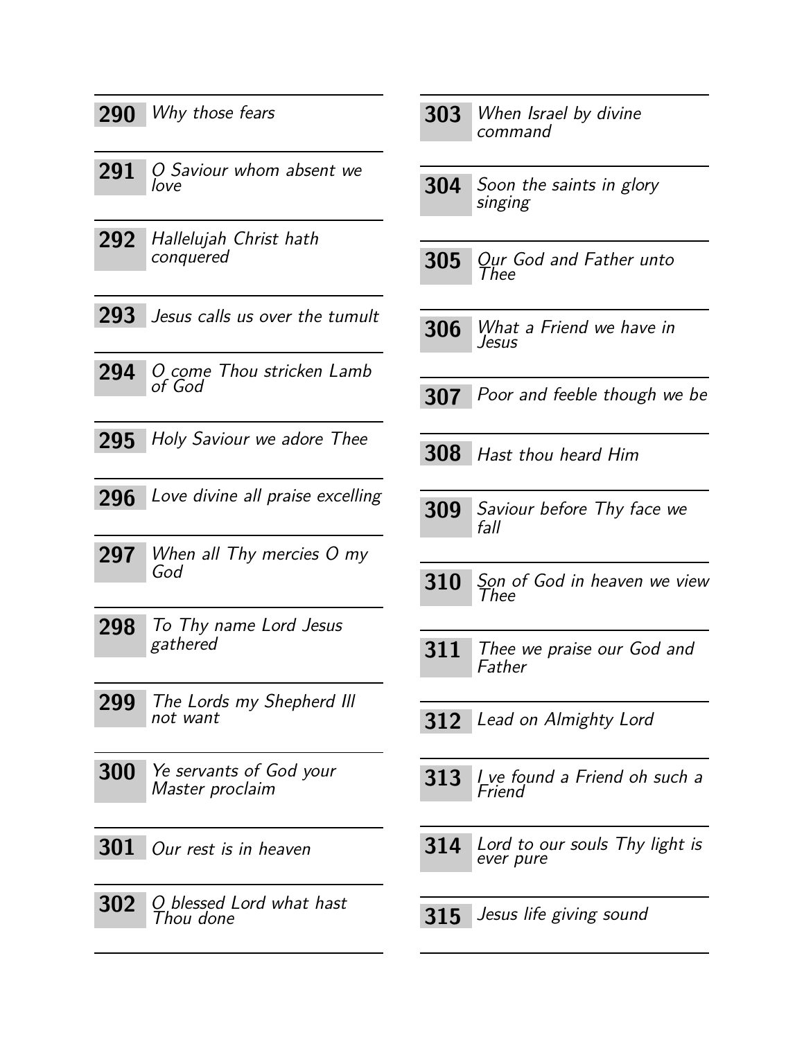<span id="page-15-25"></span><span id="page-15-24"></span><span id="page-15-23"></span><span id="page-15-22"></span><span id="page-15-21"></span><span id="page-15-20"></span><span id="page-15-19"></span><span id="page-15-18"></span><span id="page-15-17"></span><span id="page-15-16"></span><span id="page-15-15"></span><span id="page-15-14"></span><span id="page-15-13"></span><span id="page-15-12"></span><span id="page-15-11"></span><span id="page-15-10"></span><span id="page-15-9"></span><span id="page-15-8"></span><span id="page-15-7"></span><span id="page-15-6"></span><span id="page-15-5"></span><span id="page-15-4"></span><span id="page-15-3"></span><span id="page-15-2"></span><span id="page-15-1"></span><span id="page-15-0"></span>

| 290        | Why those fears                                   | 303        | When Israel by divine<br>command            |
|------------|---------------------------------------------------|------------|---------------------------------------------|
| 291        | O Saviour whom absent we<br>love                  | 304        | Soon the saints in glory<br>singing         |
| 292        | Hallelujah Christ hath<br>conquered               | 305        | Our God and Father unto<br>Thee             |
| 293        | Jesus calls us over the tumult                    | 306        | What a Friend we have in<br>Jesus           |
| 294        | O come Thou stricken Lamb<br>of God               | <b>307</b> | Poor and feeble though we be                |
| 295        | Holy Saviour we adore Thee                        | 308        | Hast thou heard Him                         |
| 296        | Love divine all praise excelling                  | 309        | Saviour before Thy face we<br>fall          |
| 297        | When all Thy mercies O my<br>God                  | 310        | Son of God in heaven we view<br>Thee        |
| 298        | To Thy name Lord Jesus<br>gathered                | 311        | Thee we praise our God and<br>Father        |
| 299        | The Lords my Shepherd III<br>not want             | 312        | Lead on Almighty Lord                       |
| 300        | <i>Ye servants of God your</i><br>Master proclaim | 313        | I ve found a Friend oh such a<br>Friend     |
| <b>301</b> | Our rest is in heaven                             | 314        | Lord to our souls Thy light is<br>ever pure |
| 302        | O blessed Lord what hast<br>Thou done             | 315        | Jesus life giving sound                     |
|            |                                                   |            |                                             |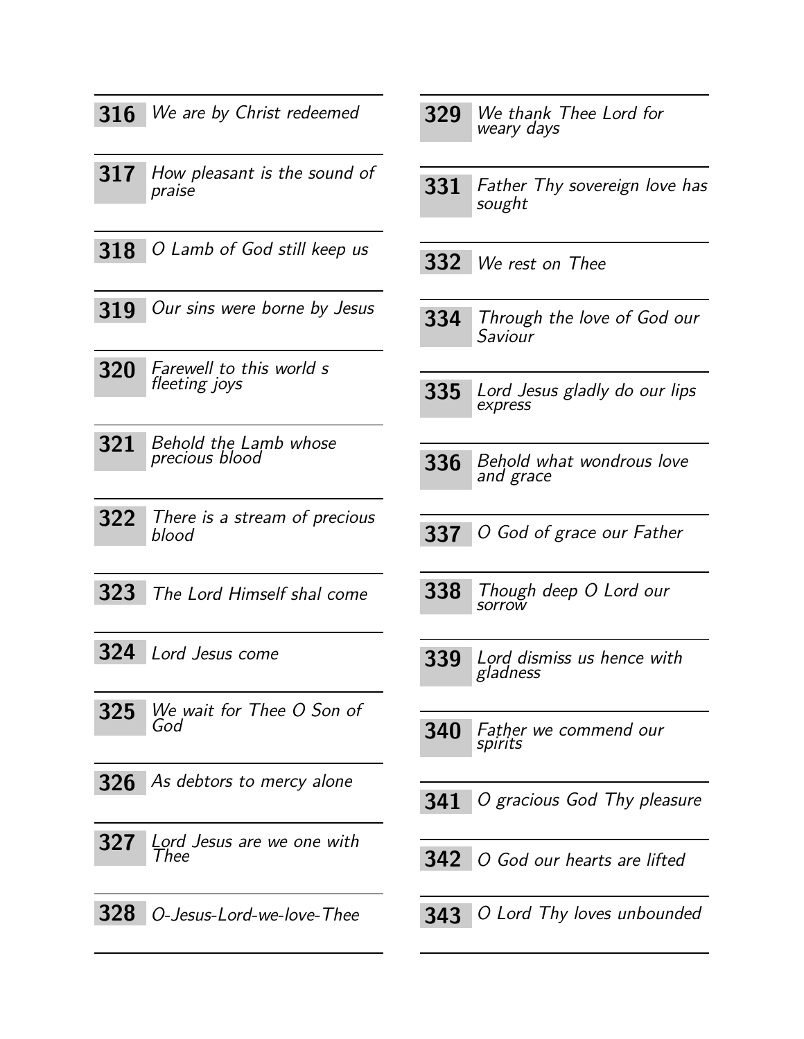<span id="page-16-25"></span><span id="page-16-24"></span><span id="page-16-23"></span><span id="page-16-22"></span><span id="page-16-21"></span><span id="page-16-20"></span><span id="page-16-19"></span><span id="page-16-18"></span><span id="page-16-17"></span><span id="page-16-16"></span><span id="page-16-15"></span><span id="page-16-14"></span><span id="page-16-13"></span><span id="page-16-12"></span><span id="page-16-11"></span><span id="page-16-10"></span><span id="page-16-9"></span><span id="page-16-8"></span><span id="page-16-7"></span><span id="page-16-6"></span><span id="page-16-5"></span><span id="page-16-4"></span><span id="page-16-3"></span><span id="page-16-2"></span><span id="page-16-1"></span><span id="page-16-0"></span>

| 316 | We are by Christ redeemed                 | 329 | We thank Thee Lord for<br>weary days           |
|-----|-------------------------------------------|-----|------------------------------------------------|
| 317 | How pleasant is the sound of<br>praise    | 331 | <b>Father Thy sovereign love has</b><br>sought |
| 318 | O Lamb of God still keep us               | 332 | We rest on Thee                                |
| 319 | Our sins were borne by Jesus              | 334 | Through the love of God our<br>Saviour         |
| 320 | Farewell to this world s<br>fleeting joys | 335 | Lord Jesus gladly do our lips<br>express       |
| 321 | Behold the Lamb whose<br>precious blood   | 336 | Behold what wondrous love<br>and grace         |
| 322 | There is a stream of precious<br>blood    | 337 | O God of grace our Father                      |
| 323 | The Lord Himself shal come                | 338 | Though deep O Lord our<br>sorrow               |
| 324 | Lord Jesus come                           | 339 | Lord dismiss us hence with<br>gladness         |
| 325 | We wait for Thee O Son of<br>God          | 340 | Father we commend our<br>spirits               |
| 326 | As debtors to mercy alone                 | 341 | O gracious God Thy pleasure                    |
| 327 | Lord Jesus are we one with<br>I hee       | 342 | O God our hearts are lifted                    |
| 328 | O-Jesus-Lord-we-love-Thee                 | 343 | O Lord Thy loves unbounded                     |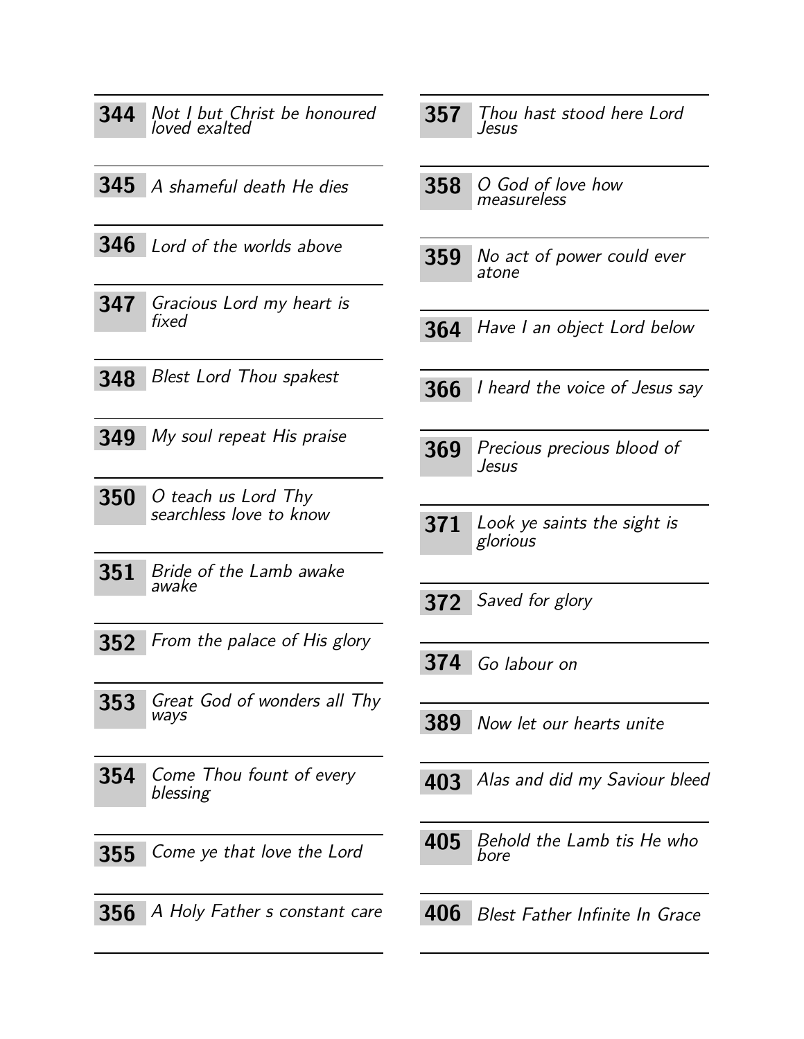<span id="page-17-22"></span><span id="page-17-19"></span><span id="page-17-17"></span><span id="page-17-16"></span><span id="page-17-11"></span><span id="page-17-6"></span><span id="page-17-5"></span><span id="page-17-1"></span>

| 344 | Not I but Christ be honoured<br>loved exalted  | 357 | Thou .<br>Jesus   |
|-----|------------------------------------------------|-----|-------------------|
| 345 | A shameful death He dies                       | 358 | O Goa<br>measu.   |
| 346 | Lord of the worlds above                       | 359 | No act<br>atone   |
| 347 | Gracious Lord my heart is<br>fixed             | 364 | Have I            |
| 348 | <b>Blest Lord Thou spakest</b>                 | 366 | <i>I</i> hearc    |
| 349 | My soul repeat His praise                      | 369 | Precio<br>Jesus   |
| 350 | O teach us Lord Thy<br>searchless love to know | 371 | Look y<br>gloriou |
| 351 | Bride of the Lamb awake<br>awake               | 372 | Saved             |
| 352 | From the palace of His glory                   | 374 | Go lab            |
| 353 | Great God of wonders all Thy<br>ways           | 389 | Now le            |
| 354 | Come Thou fount of every<br>blessing           | 403 | Alas ai           |
| 355 | Come ye that love the Lord                     | 405 | Beholc<br>bore    |
| 356 | A Holy Father s constant care                  | 406 | Blest I           |

<span id="page-17-25"></span><span id="page-17-23"></span><span id="page-17-21"></span><span id="page-17-18"></span><span id="page-17-14"></span><span id="page-17-13"></span>

| 357 | Thou hast stood here Lord<br><i>Jesus</i> |
|-----|-------------------------------------------|
| 358 | O God of love how<br>measureless          |
| 359 | No act of power could ever<br>atone       |
| 364 | Have I an object Lord below               |
| 366 | I heard the voice of Jesus say            |
| 369 | Precious precious blood of<br>Jesus       |
| 371 | Look ye saints the sight is<br>glorious   |
| 372 | Saved for glory                           |
| 374 | Go labour on                              |
|     | 389 Now let our hearts unite              |
|     | 403 Alas and did my Saviour bleed         |
| 405 | Behold the Lamb tis He who<br>bore        |

<span id="page-17-24"></span><span id="page-17-20"></span><span id="page-17-15"></span><span id="page-17-12"></span><span id="page-17-10"></span><span id="page-17-9"></span><span id="page-17-8"></span><span id="page-17-7"></span><span id="page-17-4"></span><span id="page-17-3"></span><span id="page-17-2"></span><span id="page-17-0"></span>Father Infinite In Grace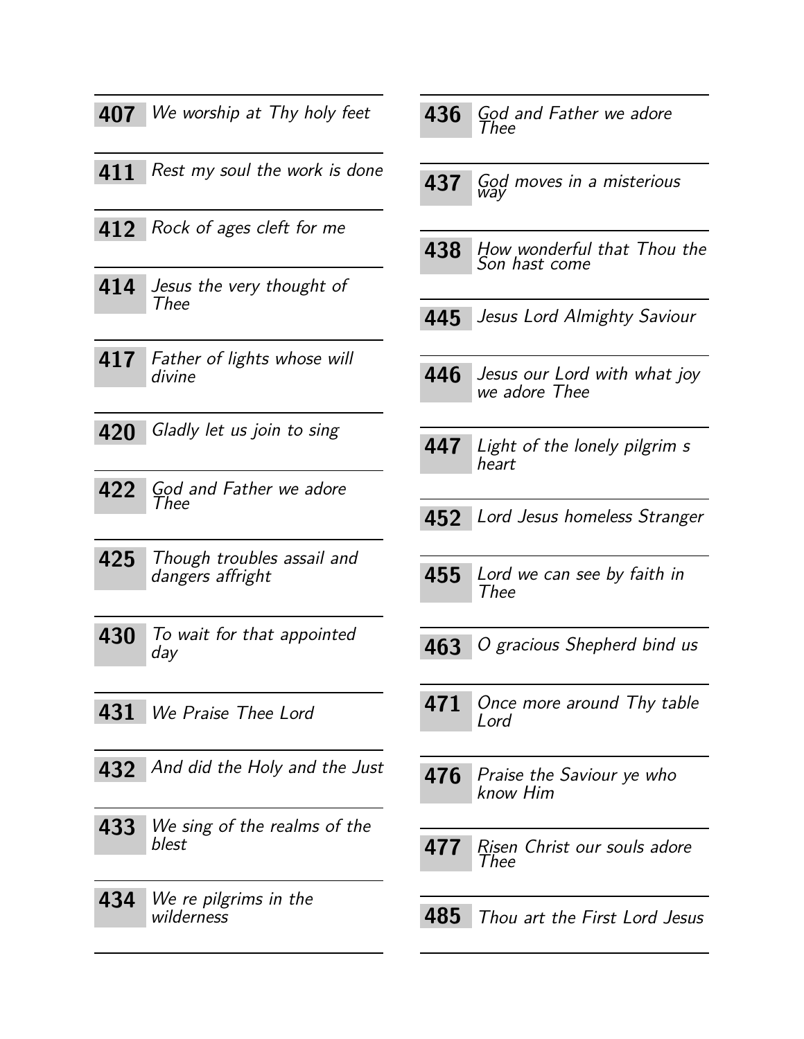<span id="page-18-25"></span><span id="page-18-24"></span><span id="page-18-23"></span><span id="page-18-22"></span><span id="page-18-21"></span><span id="page-18-20"></span><span id="page-18-18"></span><span id="page-18-16"></span><span id="page-18-9"></span><span id="page-18-3"></span><span id="page-18-2"></span><span id="page-18-1"></span><span id="page-18-0"></span>

| 407 | We worship at Thy holy feet                    |
|-----|------------------------------------------------|
| 411 | Rest my soul the work is done                  |
|     | 412 Rock of ages cleft for me                  |
| 414 | Jesus the very thought of<br>Thee              |
| 417 | Father of lights whose will<br>divine          |
| 420 | Gladly let us join to sing                     |
| 422 | God and Father we adore<br>Thee                |
| 425 | Though troubles assail and<br>dangers affright |
| 430 | To wait for that appointed<br>day              |
|     | 431 We Praise Thee Lord                        |
|     | 432 And did the Holy and the Just              |
| 433 | We sing of the realms of the<br>blest          |
| 434 | We re pilgrims in the<br>wilderness            |

<span id="page-18-19"></span><span id="page-18-17"></span><span id="page-18-15"></span><span id="page-18-14"></span><span id="page-18-13"></span><span id="page-18-12"></span><span id="page-18-11"></span><span id="page-18-10"></span><span id="page-18-8"></span><span id="page-18-7"></span><span id="page-18-6"></span><span id="page-18-5"></span><span id="page-18-4"></span>

| 436 | God and Father we adore<br>Thee               |
|-----|-----------------------------------------------|
| 437 | God moves in a misterious<br>way              |
| 438 | How wonderful that Thou the<br>Son hast come  |
| 445 | Jesus Lord Almighty Saviour                   |
| 446 | Jesus our Lord with what joy<br>we adore Thee |
| 447 | Light of the lonely pilgrim s<br>heart        |
| 452 | Lord Jesus homeless Stranger                  |
| 455 | Lord we can see by faith in<br>Thee           |
| 463 | O gracious Shepherd bind us                   |
|     | 471 Once more around Thy table<br>Lord        |
|     | 476 Praise the Saviour ye who<br>know Him     |
| 477 | Risen Christ our souls adore<br>Thee          |
|     | 485 Thou art the First Lord Jesus             |